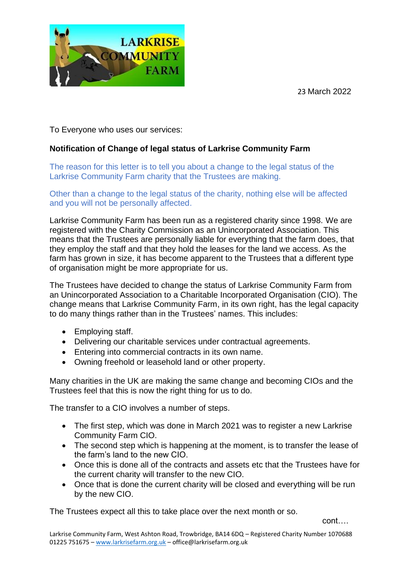23 March 2022



To Everyone who uses our services:

## **Notification of Change of legal status of Larkrise Community Farm**

The reason for this letter is to tell you about a change to the legal status of the Larkrise Community Farm charity that the Trustees are making.

Other than a change to the legal status of the charity, nothing else will be affected and you will not be personally affected.

Larkrise Community Farm has been run as a registered charity since 1998. We are registered with the Charity Commission as an Unincorporated Association. This means that the Trustees are personally liable for everything that the farm does, that they employ the staff and that they hold the leases for the land we access. As the farm has grown in size, it has become apparent to the Trustees that a different type of organisation might be more appropriate for us.

The Trustees have decided to change the status of Larkrise Community Farm from an Unincorporated Association to a Charitable Incorporated Organisation (CIO). The change means that Larkrise Community Farm, in its own right, has the legal capacity to do many things rather than in the Trustees' names. This includes:

- Employing staff.
- Delivering our charitable services under contractual agreements.
- Entering into commercial contracts in its own name.
- Owning freehold or leasehold land or other property.

Many charities in the UK are making the same change and becoming CIOs and the Trustees feel that this is now the right thing for us to do.

The transfer to a CIO involves a number of steps.

- The first step, which was done in March 2021 was to register a new Larkrise Community Farm CIO.
- The second step which is happening at the moment, is to transfer the lease of the farm's land to the new CIO.
- Once this is done all of the contracts and assets etc that the Trustees have for the current charity will transfer to the new CIO.
- Once that is done the current charity will be closed and everything will be run by the new CIO.

The Trustees expect all this to take place over the next month or so.

cont….